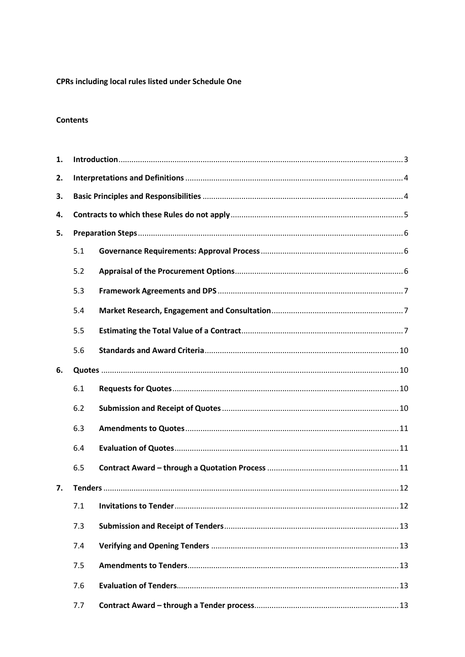# CPRs including local rules listed under Schedule One

## **Contents**

| 1. |     |  |  |
|----|-----|--|--|
| 2. |     |  |  |
| 3. |     |  |  |
| 4. |     |  |  |
| 5. |     |  |  |
|    | 5.1 |  |  |
|    | 5.2 |  |  |
|    | 5.3 |  |  |
|    | 5.4 |  |  |
|    | 5.5 |  |  |
|    | 5.6 |  |  |
| 6. |     |  |  |
|    | 6.1 |  |  |
|    | 6.2 |  |  |
|    | 6.3 |  |  |
|    | 6.4 |  |  |
|    | 6.5 |  |  |
| 7. |     |  |  |
|    | 7.1 |  |  |
|    | 7.3 |  |  |
|    | 7.4 |  |  |
|    | 7.5 |  |  |
|    | 7.6 |  |  |
|    | 7.7 |  |  |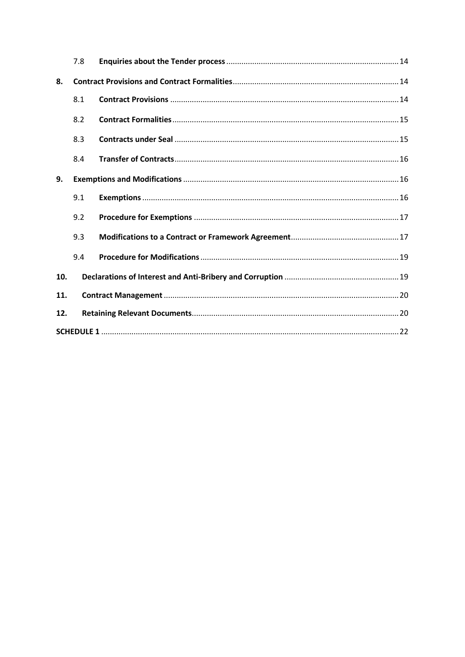|     | 7.8 |  |
|-----|-----|--|
| 8.  |     |  |
|     | 8.1 |  |
|     | 8.2 |  |
|     | 8.3 |  |
|     | 8.4 |  |
| 9.  |     |  |
|     | 9.1 |  |
|     | 9.2 |  |
|     | 9.3 |  |
|     | 9.4 |  |
| 10. |     |  |
| 11. |     |  |
| 12. |     |  |
|     |     |  |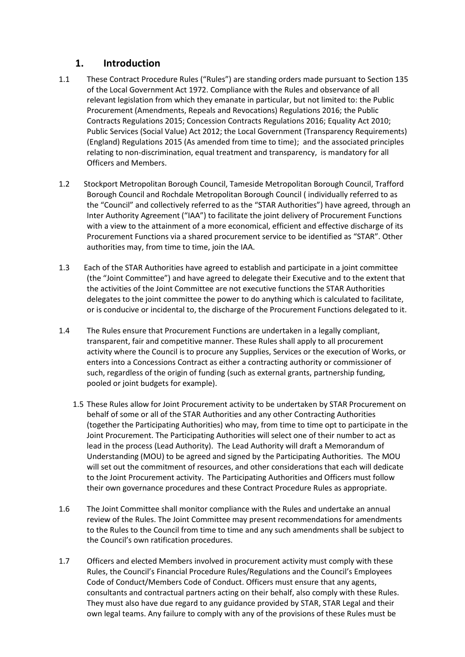# **1. Introduction**

- <span id="page-2-0"></span>1.1 These Contract Procedure Rules ("Rules") are standing orders made pursuant to Section 135 of the Local Government Act 1972. Compliance with the Rules and observance of all relevant legislation from which they emanate in particular, but not limited to: the Public Procurement (Amendments, Repeals and Revocations) Regulations 2016; the Public Contracts Regulations 2015; Concession Contracts Regulations 2016; Equality Act 2010; Public Services (Social Value) Act 2012; the Local Government (Transparency Requirements) (England) Regulations 2015 (As amended from time to time); and the associated principles relating to non-discrimination, equal treatment and transparency, is mandatory for all Officers and Members.
- 1.2 Stockport Metropolitan Borough Council, Tameside Metropolitan Borough Council, Trafford Borough Council and Rochdale Metropolitan Borough Council ( individually referred to as the "Council" and collectively referred to as the "STAR Authorities") have agreed, through an Inter Authority Agreement ("IAA") to facilitate the joint delivery of Procurement Functions with a view to the attainment of a more economical, efficient and effective discharge of its Procurement Functions via a shared procurement service to be identified as "STAR". Other authorities may, from time to time, join the IAA.
- 1.3 Each of the STAR Authorities have agreed to establish and participate in a joint committee (the "Joint Committee") and have agreed to delegate their Executive and to the extent that the activities of the Joint Committee are not executive functions the STAR Authorities delegates to the joint committee the power to do anything which is calculated to facilitate, or is conducive or incidental to, the discharge of the Procurement Functions delegated to it.
- 1.4 The Rules ensure that Procurement Functions are undertaken in a legally compliant, transparent, fair and competitive manner. These Rules shall apply to all procurement activity where the Council is to procure any Supplies, Services or the execution of Works, or enters into a Concessions Contract as either a contracting authority or commissioner of such, regardless of the origin of funding (such as external grants, partnership funding, pooled or joint budgets for example).
	- 1.5 These Rules allow for Joint Procurement activity to be undertaken by STAR Procurement on behalf of some or all of the STAR Authorities and any other Contracting Authorities (together the Participating Authorities) who may, from time to time opt to participate in the Joint Procurement. The Participating Authorities will select one of their number to act as lead in the process (Lead Authority). The Lead Authority will draft a Memorandum of Understanding (MOU) to be agreed and signed by the Participating Authorities. The MOU will set out the commitment of resources, and other considerations that each will dedicate to the Joint Procurement activity. The Participating Authorities and Officers must follow their own governance procedures and these Contract Procedure Rules as appropriate.
- 1.6 The Joint Committee shall monitor compliance with the Rules and undertake an annual review of the Rules. The Joint Committee may present recommendations for amendments to the Rules to the Council from time to time and any such amendments shall be subject to the Council's own ratification procedures.
- 1.7 Officers and elected Members involved in procurement activity must comply with these Rules, the Council's Financial Procedure Rules/Regulations and the Council's Employees Code of Conduct/Members Code of Conduct. Officers must ensure that any agents, consultants and contractual partners acting on their behalf, also comply with these Rules. They must also have due regard to any guidance provided by STAR, STAR Legal and their own legal teams. Any failure to comply with any of the provisions of these Rules must be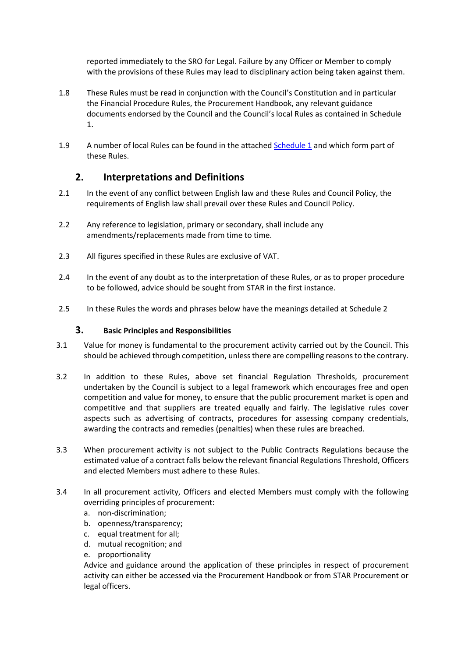reported immediately to the SRO for Legal. Failure by any Officer or Member to comply with the provisions of these Rules may lead to disciplinary action being taken against them.

- 1.8 These Rules must be read in conjunction with the Council's Constitution and in particular the Financial Procedure Rules, the Procurement Handbook, any relevant guidance documents endorsed by the Council and the Council's local Rules as contained in Schedule 1.
- <span id="page-3-0"></span>1.9 A number of local Rules can be found in the attached Schedule 1 and which form part of these Rules.

# **2. Interpretations and Definitions**

- 2.1 In the event of any conflict between English law and these Rules and Council Policy, the requirements of English law shall prevail over these Rules and Council Policy.
- 2.2 Any reference to legislation, primary or secondary, shall include any amendments/replacements made from time to time.
- 2.3 All figures specified in these Rules are exclusive of VAT.
- 2.4 In the event of any doubt as to the interpretation of these Rules, or as to proper procedure to be followed, advice should be sought from STAR in the first instance.
- <span id="page-3-1"></span>2.5 In these Rules the words and phrases below have the meanings detailed at Schedule 2

## **3. Basic Principles and Responsibilities**

- 3.1 Value for money is fundamental to the procurement activity carried out by the Council. This should be achieved through competition, unless there are compelling reasons to the contrary.
- 3.2 In addition to these Rules, above set financial Regulation Thresholds, procurement undertaken by the Council is subject to a legal framework which encourages free and open competition and value for money, to ensure that the public procurement market is open and competitive and that suppliers are treated equally and fairly. The legislative rules cover aspects such as advertising of contracts, procedures for assessing company credentials, awarding the contracts and remedies (penalties) when these rules are breached.
- 3.3 When procurement activity is not subject to the Public Contracts Regulations because the estimated value of a contract falls below the relevant financial Regulations Threshold, Officers and elected Members must adhere to these Rules.
- 3.4 In all procurement activity, Officers and elected Members must comply with the following overriding principles of procurement:
	- a. non-discrimination;
	- b. openness/transparency;
	- c. equal treatment for all;
	- d. mutual recognition; and
	- e. proportionality

Advice and guidance around the application of these principles in respect of procurement activity can either be accessed via the Procurement Handbook or from STAR Procurement or legal officers.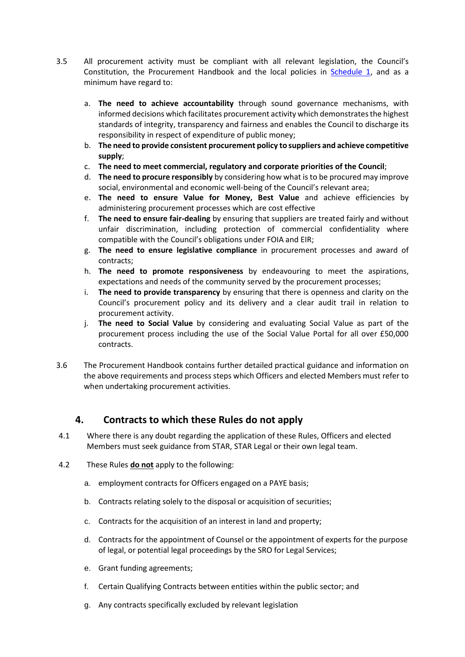- 3.5 All procurement activity must be compliant with all relevant legislation, the Council's Constitution, the Procurement Handbook and the local policies in **Schedule 1**, and as a minimum have regard to:
	- a. **The need to achieve accountability** through sound governance mechanisms, with informed decisions which facilitates procurement activity which demonstrates the highest standards of integrity, transparency and fairness and enables the Council to discharge its responsibility in respect of expenditure of public money;
	- b. **The need to provide consistent procurement policy to suppliers and achieve competitive supply**;
	- c. **The need to meet commercial, regulatory and corporate priorities of the Council**;
	- d. **The need to procure responsibly** by considering how what is to be procured may improve social, environmental and economic well-being of the Council's relevant area;
	- e. **The need to ensure Value for Money, Best Value** and achieve efficiencies by administering procurement processes which are cost effective
	- f. **The need to ensure fair-dealing** by ensuring that suppliers are treated fairly and without unfair discrimination, including protection of commercial confidentiality where compatible with the Council's obligations under FOIA and EIR;
	- g. **The need to ensure legislative compliance** in procurement processes and award of contracts;
	- h. **The need to promote responsiveness** by endeavouring to meet the aspirations, expectations and needs of the community served by the procurement processes;
	- i. **The need to provide transparency** by ensuring that there is openness and clarity on the Council's procurement policy and its delivery and a clear audit trail in relation to procurement activity.
	- j. **The need to Social Value** by considering and evaluating Social Value as part of the procurement process including the use of the Social Value Portal for all over £50,000 contracts.
- 3.6 The Procurement Handbook contains further detailed practical guidance and information on the above requirements and process steps which Officers and elected Members must refer to when undertaking procurement activities.

# <span id="page-4-0"></span>**4. Contracts to which these Rules do not apply**

- 4.1 Where there is any doubt regarding the application of these Rules, Officers and elected Members must seek guidance from STAR, STAR Legal or their own legal team.
- 4.2 These Rules **do not** apply to the following:
	- a. employment contracts for Officers engaged on a PAYE basis;
	- b. Contracts relating solely to the disposal or acquisition of securities;
	- c. Contracts for the acquisition of an interest in land and property;
	- d. Contracts for the appointment of Counsel or the appointment of experts for the purpose of legal, or potential legal proceedings by the SRO for Legal Services;
	- e. Grant funding agreements;
	- f. Certain Qualifying Contracts between entities within the public sector; and
	- g. Any contracts specifically excluded by relevant legislation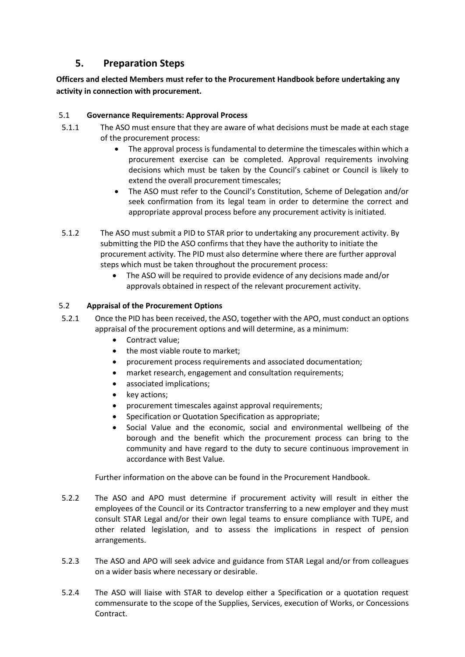# **5. Preparation Steps**

# <span id="page-5-0"></span>**Officers and elected Members must refer to the Procurement Handbook before undertaking any activity in connection with procurement.**

## <span id="page-5-1"></span>5.1 **Governance Requirements: Approval Process**

- 5.1.1 The ASO must ensure that they are aware of what decisions must be made at each stage of the procurement process:
	- The approval process is fundamental to determine the timescales within which a procurement exercise can be completed. Approval requirements involving decisions which must be taken by the Council's cabinet or Council is likely to extend the overall procurement timescales;
	- The ASO must refer to the Council's Constitution, Scheme of Delegation and/or seek confirmation from its legal team in order to determine the correct and appropriate approval process before any procurement activity is initiated.
- 5.1.2 The ASO must submit a PID to STAR prior to undertaking any procurement activity. By submitting the PID the ASO confirms that they have the authority to initiate the procurement activity. The PID must also determine where there are further approval steps which must be taken throughout the procurement process:
	- The ASO will be required to provide evidence of any decisions made and/or approvals obtained in respect of the relevant procurement activity.

## <span id="page-5-2"></span>5.2 **Appraisal of the Procurement Options**

- 5.2.1 Once the PID has been received, the ASO, together with the APO, must conduct an options appraisal of the procurement options and will determine, as a minimum:
	- Contract value:
	- the most viable route to market;
	- procurement process requirements and associated documentation;
	- market research, engagement and consultation requirements;
	- associated implications;
	- key actions;
	- procurement timescales against approval requirements;
	- Specification or Quotation Specification as appropriate;
	- Social Value and the economic, social and environmental wellbeing of the borough and the benefit which the procurement process can bring to the community and have regard to the duty to secure continuous improvement in accordance with Best Value.

Further information on the above can be found in the Procurement Handbook.

- 5.2.2 The ASO and APO must determine if procurement activity will result in either the employees of the Council or its Contractor transferring to a new employer and they must consult STAR Legal and/or their own legal teams to ensure compliance with TUPE, and other related legislation, and to assess the implications in respect of pension arrangements.
- 5.2.3 The ASO and APO will seek advice and guidance from STAR Legal and/or from colleagues on a wider basis where necessary or desirable.
- 5.2.4 The ASO will liaise with STAR to develop either a Specification or a quotation request commensurate to the scope of the Supplies, Services, execution of Works, or Concessions Contract.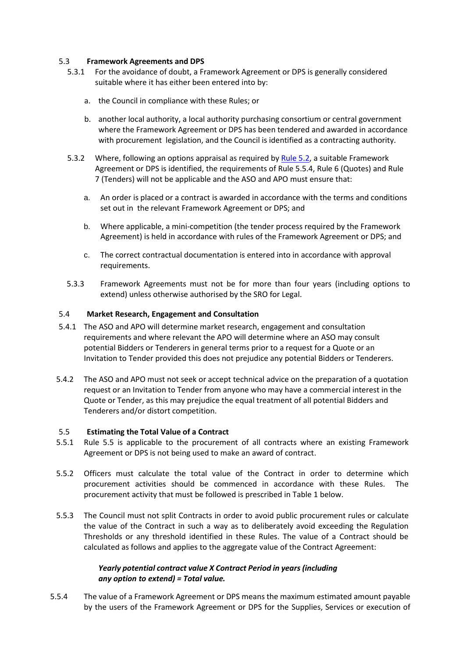### <span id="page-6-0"></span>5.3 **Framework Agreements and DPS**

- 5.3.1 For the avoidance of doubt, a Framework Agreement or DPS is generally considered suitable where it has either been entered into by:
	- a. the Council in compliance with these Rules; or
	- b. another local authority, a local authority purchasing consortium or central government where the Framework Agreement or DPS has been tendered and awarded in accordance with procurement legislation, and the Council is identified as a contracting authority.
- 5.3.2 Where, following an options appraisal as required by Rule 5.2, a suitable Framework Agreement or DPS is identified, the requirements of Rule 5.5.4, Rule 6 (Quotes) and Rule 7 (Tenders) will not be applicable and the ASO and APO must ensure that:
	- a. An order is placed or a contract is awarded in accordance with the terms and conditions set out in the relevant Framework Agreement or DPS; and
	- b. Where applicable, a mini-competition (the tender process required by the Framework Agreement) is held in accordance with rules of the Framework Agreement or DPS; and
	- c. The correct contractual documentation is entered into in accordance with approval requirements.
- 5.3.3 Framework Agreements must not be for more than four years (including options to extend) unless otherwise authorised by the SRO for Legal.

### <span id="page-6-1"></span>5.4 **Market Research, Engagement and Consultation**

- 5.4.1 The ASO and APO will determine market research, engagement and consultation requirements and where relevant the APO will determine where an ASO may consult potential Bidders or Tenderers in general terms prior to a request for a Quote or an Invitation to Tender provided this does not prejudice any potential Bidders or Tenderers.
- 5.4.2 The ASO and APO must not seek or accept technical advice on the preparation of a quotation request or an Invitation to Tender from anyone who may have a commercial interest in the Quote or Tender, as this may prejudice the equal treatment of all potential Bidders and Tenderers and/or distort competition.

#### <span id="page-6-2"></span>5.5 **Estimating the Total Value of a Contract**

- 5.5.1 Rule 5.5 is applicable to the procurement of all contracts where an existing Framework Agreement or DPS is not being used to make an award of contract.
- 5.5.2 Officers must calculate the total value of the Contract in order to determine which procurement activities should be commenced in accordance with these Rules. The procurement activity that must be followed is prescribed in Table 1 below.
- 5.5.3 The Council must not split Contracts in order to avoid public procurement rules or calculate the value of the Contract in such a way as to deliberately avoid exceeding the Regulation Thresholds or any threshold identified in these Rules. The value of a Contract should be calculated as follows and applies to the aggregate value of the Contract Agreement:

### *Yearly potential contract value X Contract Period in years (including any option to extend) = Total value.*

5.5.4 The value of a Framework Agreement or DPS means the maximum estimated amount payable by the users of the Framework Agreement or DPS for the Supplies, Services or execution of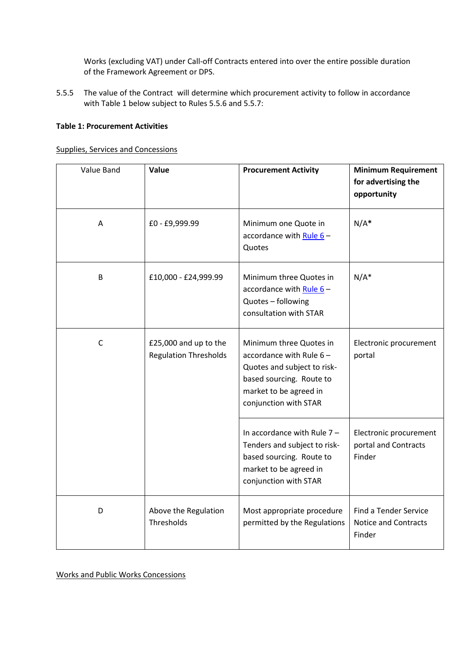Works (excluding VAT) under Call-off Contracts entered into over the entire possible duration of the Framework Agreement or DPS.

5.5.5 The value of the Contract will determine which procurement activity to follow in accordance with Table 1 below subject to Rules 5.5.6 and 5.5.7:

#### **Table 1: Procurement Activities**

Supplies, Services and Concessions

| Value Band   | Value                                                 | <b>Procurement Activity</b>                                                                                                                                         | <b>Minimum Requirement</b><br>for advertising the<br>opportunity      |
|--------------|-------------------------------------------------------|---------------------------------------------------------------------------------------------------------------------------------------------------------------------|-----------------------------------------------------------------------|
| A            | £0 - £9,999.99                                        | Minimum one Quote in<br>accordance with Rule $6-$<br>Quotes                                                                                                         | $N/A^*$                                                               |
| B            | £10,000 - £24,999.99                                  | Minimum three Quotes in<br>accordance with Rule $6-$<br>Quotes - following<br>consultation with STAR                                                                | $N/A^*$                                                               |
| $\mathsf{C}$ | £25,000 and up to the<br><b>Regulation Thresholds</b> | Minimum three Quotes in<br>accordance with Rule $6 -$<br>Quotes and subject to risk-<br>based sourcing. Route to<br>market to be agreed in<br>conjunction with STAR | Electronic procurement<br>portal                                      |
|              |                                                       | In accordance with Rule $7 -$<br>Tenders and subject to risk-<br>based sourcing. Route to<br>market to be agreed in<br>conjunction with STAR                        | Electronic procurement<br>portal and Contracts<br>Finder              |
| D            | Above the Regulation<br>Thresholds                    | Most appropriate procedure<br>permitted by the Regulations                                                                                                          | <b>Find a Tender Service</b><br><b>Notice and Contracts</b><br>Finder |

Works and Public Works Concessions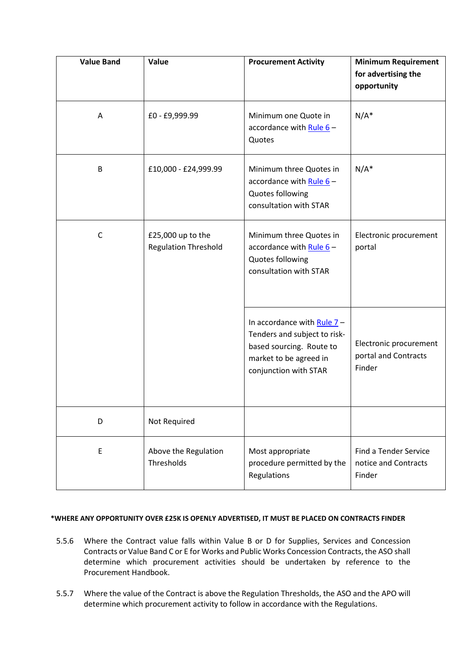| <b>Value Band</b> | Value                                            | <b>Procurement Activity</b>                                                                                                                 | <b>Minimum Requirement</b><br>for advertising the<br>opportunity |
|-------------------|--------------------------------------------------|---------------------------------------------------------------------------------------------------------------------------------------------|------------------------------------------------------------------|
| A                 | £0 - £9,999.99                                   | Minimum one Quote in<br>accordance with Rule $6 -$<br>Quotes                                                                                | $N/A^*$                                                          |
| B                 | £10,000 - £24,999.99                             | Minimum three Quotes in<br>accordance with Rule $6-$<br>Quotes following<br>consultation with STAR                                          | $N/A^*$                                                          |
| $\mathsf C$       | £25,000 up to the<br><b>Regulation Threshold</b> | Minimum three Quotes in<br>accordance with Rule $6 -$<br>Quotes following<br>consultation with STAR                                         | Electronic procurement<br>portal                                 |
|                   |                                                  | In accordance with Rule $7-$<br>Tenders and subject to risk-<br>based sourcing. Route to<br>market to be agreed in<br>conjunction with STAR | Electronic procurement<br>portal and Contracts<br>Finder         |
| D                 | Not Required                                     |                                                                                                                                             |                                                                  |
| E                 | Above the Regulation<br>Thresholds               | Most appropriate<br>procedure permitted by the<br>Regulations                                                                               | <b>Find a Tender Service</b><br>notice and Contracts<br>Finder   |

#### **\*WHERE ANY OPPORTUNITY OVER £25K IS OPENLY ADVERTISED, IT MUST BE PLACED ON CONTRACTS FINDER**

- 5.5.6 Where the Contract value falls within Value B or D for Supplies, Services and Concession Contracts or Value Band C or E for Works and Public Works Concession Contracts, the ASO shall determine which procurement activities should be undertaken by reference to the Procurement Handbook.
- 5.5.7 Where the value of the Contract is above the Regulation Thresholds, the ASO and the APO will determine which procurement activity to follow in accordance with the Regulations.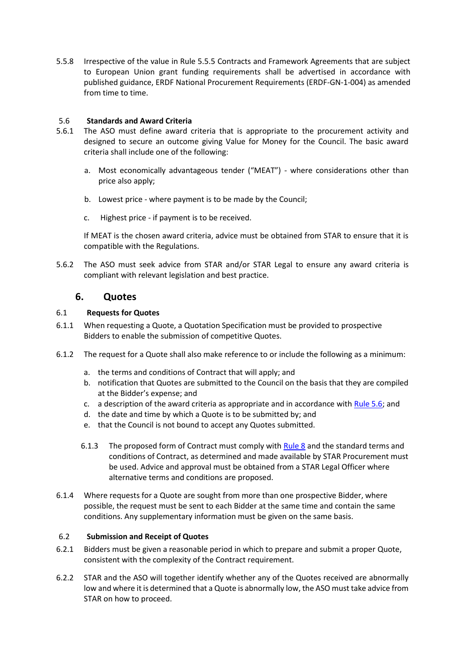5.5.8 Irrespective of the value in Rule 5.5.5 Contracts and Framework Agreements that are subject to European Union grant funding requirements shall be advertised in accordance with published guidance, ERDF National Procurement Requirements (ERDF-GN-1-004) as amended from time to time.

### <span id="page-9-0"></span>5.6 **Standards and Award Criteria**

- 5.6.1 The ASO must define award criteria that is appropriate to the procurement activity and designed to secure an outcome giving Value for Money for the Council. The basic award criteria shall include one of the following:
	- a. Most economically advantageous tender ("MEAT") where considerations other than price also apply;
	- b. Lowest price where payment is to be made by the Council;
	- c. Highest price if payment is to be received.

If MEAT is the chosen award criteria, advice must be obtained from STAR to ensure that it is compatible with the Regulations.

<span id="page-9-1"></span>5.6.2 The ASO must seek advice from STAR and/or STAR Legal to ensure any award criteria is compliant with relevant legislation and best practice.

## **6. Quotes**

### <span id="page-9-2"></span>6.1 **Requests for Quotes**

- 6.1.1 When requesting a Quote, a Quotation Specification must be provided to prospective Bidders to enable the submission of competitive Quotes.
- 6.1.2 The request for a Quote shall also make reference to or include the following as a minimum:
	- a. the terms and conditions of Contract that will apply; and
	- b. notification that Quotes are submitted to the Council on the basis that they are compiled at the Bidder's expense; and
	- c. a description of the award criteria as appropriate and in accordance with Rule 5.6; and
	- d. the date and time by which a Quote is to be submitted by; and
	- e. that the Council is not bound to accept any Quotes submitted.
	- 6.1.3 The proposed form of Contract must comply with Rule 8 and the standard terms and conditions of Contract, as determined and made available by STAR Procurement must be used. Advice and approval must be obtained from a STAR Legal Officer where alternative terms and conditions are proposed.
- 6.1.4 Where requests for a Quote are sought from more than one prospective Bidder, where possible, the request must be sent to each Bidder at the same time and contain the same conditions. Any supplementary information must be given on the same basis.

#### <span id="page-9-3"></span>6.2 **Submission and Receipt of Quotes**

- 6.2.1 Bidders must be given a reasonable period in which to prepare and submit a proper Quote, consistent with the complexity of the Contract requirement.
- 6.2.2 STAR and the ASO will together identify whether any of the Quotes received are abnormally low and where it is determined that a Quote is abnormally low, the ASO must take advice from STAR on how to proceed.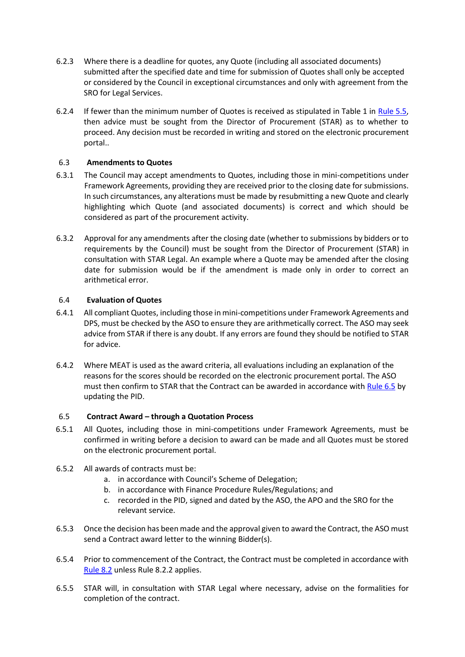- 6.2.3 Where there is a deadline for quotes, any Quote (including all associated documents) submitted after the specified date and time for submission of Quotes shall only be accepted or considered by the Council in exceptional circumstances and only with agreement from the SRO for Legal Services.
- 6.2.4 If fewer than the minimum number of Quotes is received as stipulated in Table 1 in Rule 5.5, then advice must be sought from the Director of Procurement (STAR) as to whether to proceed. Any decision must be recorded in writing and stored on the electronic procurement portal..

## <span id="page-10-0"></span>6.3 **Amendments to Quotes**

- 6.3.1 The Council may accept amendments to Quotes, including those in mini-competitions under Framework Agreements, providing they are received prior to the closing date for submissions. In such circumstances, any alterations must be made by resubmitting a new Quote and clearly highlighting which Quote (and associated documents) is correct and which should be considered as part of the procurement activity.
- 6.3.2 Approval for any amendments after the closing date (whether to submissions by bidders or to requirements by the Council) must be sought from the Director of Procurement (STAR) in consultation with STAR Legal. An example where a Quote may be amended after the closing date for submission would be if the amendment is made only in order to correct an arithmetical error.

### <span id="page-10-1"></span>6.4 **Evaluation of Quotes**

- 6.4.1 All compliant Quotes, including those in mini-competitions under Framework Agreements and DPS, must be checked by the ASO to ensure they are arithmetically correct. The ASO may seek advice from STAR if there is any doubt. If any errors are found they should be notified to STAR for advice.
- 6.4.2 Where MEAT is used as the award criteria, all evaluations including an explanation of the reasons for the scores should be recorded on the electronic procurement portal. The ASO must then confirm to STAR that the Contract can be awarded in accordance with Rule 6.5 by updating the PID.

## <span id="page-10-2"></span>6.5 **Contract Award – through a Quotation Process**

- 6.5.1 All Quotes, including those in mini-competitions under Framework Agreements, must be confirmed in writing before a decision to award can be made and all Quotes must be stored on the electronic procurement portal.
- 6.5.2 All awards of contracts must be:
	- a. in accordance with Council's Scheme of Delegation;
	- b. in accordance with Finance Procedure Rules/Regulations; and
	- c. recorded in the PID, signed and dated by the ASO, the APO and the SRO for the relevant service.
- 6.5.3 Once the decision has been made and the approval given to award the Contract, the ASO must send a Contract award letter to the winning Bidder(s).
- 6.5.4 Prior to commencement of the Contract, the Contract must be completed in accordance with Rule 8.2 unless Rule 8.2.2 applies.
- 6.5.5 STAR will, in consultation with STAR Legal where necessary, advise on the formalities for completion of the contract.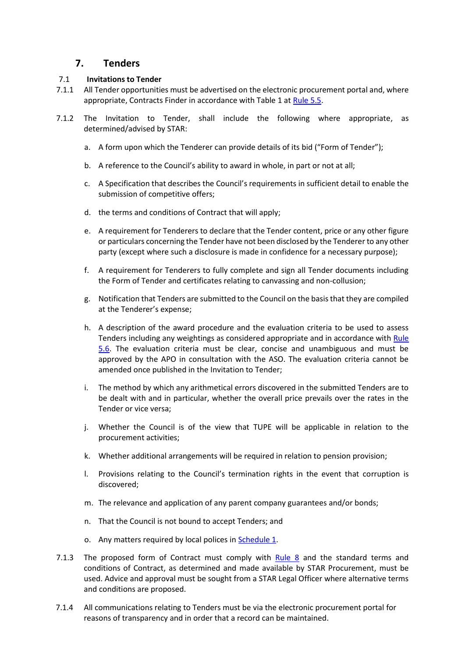# **7. Tenders**

#### <span id="page-11-1"></span><span id="page-11-0"></span>7.1 **Invitations to Tender**

- 7.1.1 All Tender opportunities must be advertised on the electronic procurement portal and, where appropriate, Contracts Finder in accordance with Table 1 at Rule 5.5.
- 7.1.2 The Invitation to Tender, shall include the following where appropriate, as determined/advised by STAR:
	- a. A form upon which the Tenderer can provide details of its bid ("Form of Tender");
	- b. A reference to the Council's ability to award in whole, in part or not at all;
	- c. A Specification that describes the Council's requirements in sufficient detail to enable the submission of competitive offers;
	- d. the terms and conditions of Contract that will apply;
	- e. A requirement for Tenderers to declare that the Tender content, price or any other figure or particulars concerning the Tender have not been disclosed by the Tenderer to any other party (except where such a disclosure is made in confidence for a necessary purpose);
	- f. A requirement for Tenderers to fully complete and sign all Tender documents including the Form of Tender and certificates relating to canvassing and non-collusion;
	- g. Notification that Tenders are submitted to the Council on the basis that they are compiled at the Tenderer's expense;
	- h. A description of the award procedure and the evaluation criteria to be used to assess Tenders including any weightings as considered appropriate and in accordance with Rule 5.6. The evaluation criteria must be clear, concise and unambiguous and must be approved by the APO in consultation with the ASO. The evaluation criteria cannot be amended once published in the Invitation to Tender;
	- i. The method by which any arithmetical errors discovered in the submitted Tenders are to be dealt with and in particular, whether the overall price prevails over the rates in the Tender or vice versa;
	- j. Whether the Council is of the view that TUPE will be applicable in relation to the procurement activities;
	- k. Whether additional arrangements will be required in relation to pension provision;
	- l. Provisions relating to the Council's termination rights in the event that corruption is discovered;
	- m. The relevance and application of any parent company guarantees and/or bonds;
	- n. That the Council is not bound to accept Tenders; and
	- o. Any matters required by local polices in Schedule 1.
- 7.1.3 The proposed form of Contract must comply with Rule 8 and the standard terms and conditions of Contract, as determined and made available by STAR Procurement, must be used. Advice and approval must be sought from a STAR Legal Officer where alternative terms and conditions are proposed.
- 7.1.4 All communications relating to Tenders must be via the electronic procurement portal for reasons of transparency and in order that a record can be maintained.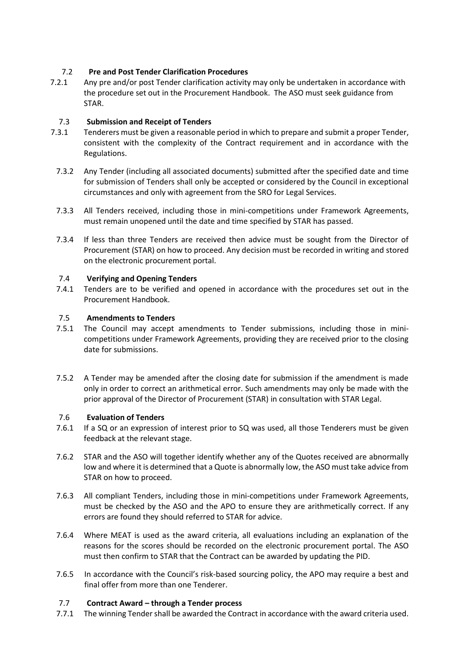## 7.2 **Pre and Post Tender Clarification Procedures**

7.2.1 Any pre and/or post Tender clarification activity may only be undertaken in accordance with the procedure set out in the Procurement Handbook. The ASO must seek guidance from STAR.

## <span id="page-12-0"></span>7.3 **Submission and Receipt of Tenders**

- 7.3.1 Tenderers must be given a reasonable period in which to prepare and submit a proper Tender, consistent with the complexity of the Contract requirement and in accordance with the Regulations.
	- 7.3.2 Any Tender (including all associated documents) submitted after the specified date and time for submission of Tenders shall only be accepted or considered by the Council in exceptional circumstances and only with agreement from the SRO for Legal Services.
	- 7.3.3 All Tenders received, including those in mini-competitions under Framework Agreements, must remain unopened until the date and time specified by STAR has passed.
	- 7.3.4 If less than three Tenders are received then advice must be sought from the Director of Procurement (STAR) on how to proceed. Any decision must be recorded in writing and stored on the electronic procurement portal.

## <span id="page-12-1"></span>7.4 **Verifying and Opening Tenders**

7.4.1 Tenders are to be verified and opened in accordance with the procedures set out in the Procurement Handbook.

## <span id="page-12-2"></span>7.5 **Amendments to Tenders**

- 7.5.1 The Council may accept amendments to Tender submissions, including those in minicompetitions under Framework Agreements, providing they are received prior to the closing date for submissions.
- 7.5.2 A Tender may be amended after the closing date for submission if the amendment is made only in order to correct an arithmetical error. Such amendments may only be made with the prior approval of the Director of Procurement (STAR) in consultation with STAR Legal.

## <span id="page-12-3"></span>7.6 **Evaluation of Tenders**

- 7.6.1 If a SQ or an expression of interest prior to SQ was used, all those Tenderers must be given feedback at the relevant stage.
- 7.6.2 STAR and the ASO will together identify whether any of the Quotes received are abnormally low and where it is determined that a Quote is abnormally low, the ASO must take advice from STAR on how to proceed.
- 7.6.3 All compliant Tenders, including those in mini-competitions under Framework Agreements, must be checked by the ASO and the APO to ensure they are arithmetically correct. If any errors are found they should referred to STAR for advice.
- 7.6.4 Where MEAT is used as the award criteria, all evaluations including an explanation of the reasons for the scores should be recorded on the electronic procurement portal. The ASO must then confirm to STAR that the Contract can be awarded by updating the PID.
- 7.6.5 In accordance with the Council's risk-based sourcing policy, the APO may require a best and final offer from more than one Tenderer.

## <span id="page-12-4"></span>7.7 **Contract Award – through a Tender process**

7.7.1 The winning Tender shall be awarded the Contract in accordance with the award criteria used.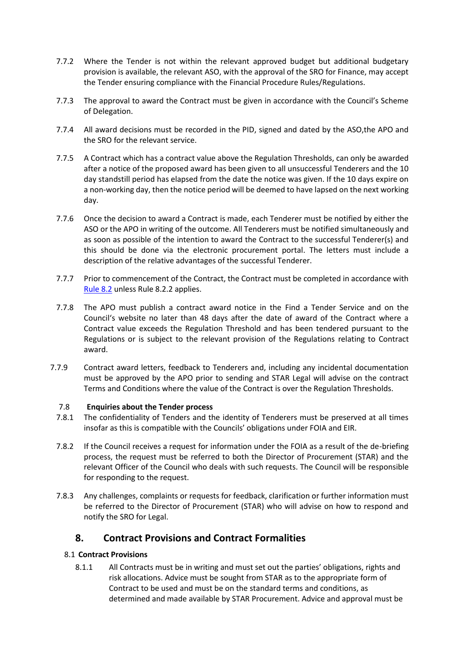- 7.7.2 Where the Tender is not within the relevant approved budget but additional budgetary provision is available, the relevant ASO, with the approval of the SRO for Finance, may accept the Tender ensuring compliance with the Financial Procedure Rules/Regulations.
- 7.7.3 The approval to award the Contract must be given in accordance with the Council's Scheme of Delegation.
- 7.7.4 All award decisions must be recorded in the PID, signed and dated by the ASO,the APO and the SRO for the relevant service.
- 7.7.5 A Contract which has a contract value above the Regulation Thresholds, can only be awarded after a notice of the proposed award has been given to all unsuccessful Tenderers and the 10 day standstill period has elapsed from the date the notice was given. If the 10 days expire on a non-working day, then the notice period will be deemed to have lapsed on the next working day.
- 7.7.6 Once the decision to award a Contract is made, each Tenderer must be notified by either the ASO or the APO in writing of the outcome. All Tenderers must be notified simultaneously and as soon as possible of the intention to award the Contract to the successful Tenderer(s) and this should be done via the electronic procurement portal. The letters must include a description of the relative advantages of the successful Tenderer.
- 7.7.7 Prior to commencement of the Contract, the Contract must be completed in accordance with Rule 8.2 unless Rule 8.2.2 applies.
- 7.7.8 The APO must publish a contract award notice in the Find a Tender Service and on the Council's website no later than 48 days after the date of award of the Contract where a Contract value exceeds the Regulation Threshold and has been tendered pursuant to the Regulations or is subject to the relevant provision of the Regulations relating to Contract award.
- 7.7.9 Contract award letters, feedback to Tenderers and, including any incidental documentation must be approved by the APO prior to sending and STAR Legal will advise on the contract Terms and Conditions where the value of the Contract is over the Regulation Thresholds.

#### <span id="page-13-0"></span>7.8 **Enquiries about the Tender process**

- 7.8.1 The confidentiality of Tenders and the identity of Tenderers must be preserved at all times insofar as this is compatible with the Councils' obligations under FOIA and EIR.
- 7.8.2 If the Council receives a request for information under the FOIA as a result of the de-briefing process, the request must be referred to both the Director of Procurement (STAR) and the relevant Officer of the Council who deals with such requests. The Council will be responsible for responding to the request.
- 7.8.3 Any challenges, complaints or requests for feedback, clarification or further information must be referred to the Director of Procurement (STAR) who will advise on how to respond and notify the SRO for Legal.

# <span id="page-13-1"></span>**8. Contract Provisions and Contract Formalities**

## <span id="page-13-2"></span>8.1 **Contract Provisions**

8.1.1 All Contracts must be in writing and must set out the parties' obligations, rights and risk allocations. Advice must be sought from STAR as to the appropriate form of Contract to be used and must be on the standard terms and conditions, as determined and made available by STAR Procurement. Advice and approval must be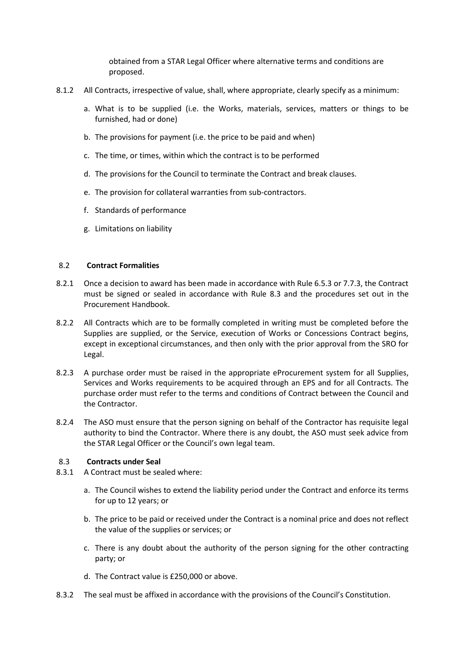obtained from a STAR Legal Officer where alternative terms and conditions are proposed.

- 8.1.2 All Contracts, irrespective of value, shall, where appropriate, clearly specify as a minimum:
	- a. What is to be supplied (i.e. the Works, materials, services, matters or things to be furnished, had or done)
	- b. The provisions for payment (i.e. the price to be paid and when)
	- c. The time, or times, within which the contract is to be performed
	- d. The provisions for the Council to terminate the Contract and break clauses.
	- e. The provision for collateral warranties from sub-contractors.
	- f. Standards of performance
	- g. Limitations on liability

#### <span id="page-14-0"></span>8.2 **Contract Formalities**

- 8.2.1 Once a decision to award has been made in accordance with Rule 6.5.3 or 7.7.3, the Contract must be signed or sealed in accordance with Rule 8.3 and the procedures set out in the Procurement Handbook.
- 8.2.2 All Contracts which are to be formally completed in writing must be completed before the Supplies are supplied, or the Service, execution of Works or Concessions Contract begins, except in exceptional circumstances, and then only with the prior approval from the SRO for Legal.
- 8.2.3 A purchase order must be raised in the appropriate eProcurement system for all Supplies, Services and Works requirements to be acquired through an EPS and for all Contracts. The purchase order must refer to the terms and conditions of Contract between the Council and the Contractor.
- 8.2.4 The ASO must ensure that the person signing on behalf of the Contractor has requisite legal authority to bind the Contractor. Where there is any doubt, the ASO must seek advice from the STAR Legal Officer or the Council's own legal team.

#### <span id="page-14-1"></span>8.3 **Contracts under Seal**

- 8.3.1 A Contract must be sealed where:
	- a. The Council wishes to extend the liability period under the Contract and enforce its terms for up to 12 years; or
	- b. The price to be paid or received under the Contract is a nominal price and does not reflect the value of the supplies or services; or
	- c. There is any doubt about the authority of the person signing for the other contracting party; or
	- d. The Contract value is £250,000 or above.
- 8.3.2 The seal must be affixed in accordance with the provisions of the Council's Constitution.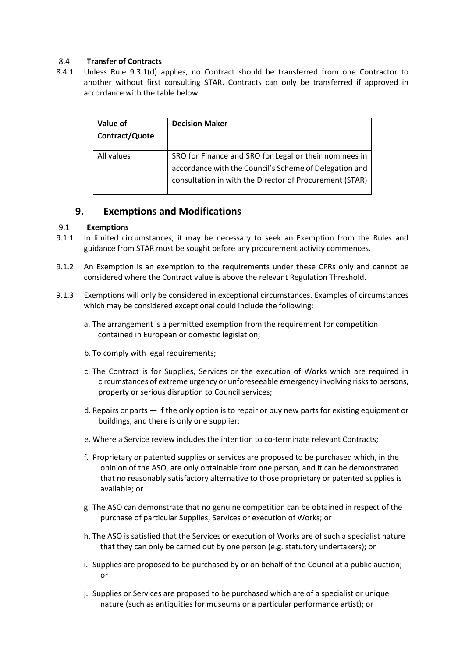## <span id="page-15-0"></span>8.4 **Transfer of Contracts**

8.4.1 Unless Rule 9.3.1(d) applies, no Contract should be transferred from one Contractor to another without first consulting STAR. Contracts can only be transferred if approved in accordance with the table below:

| Value of<br>Contract/Quote | <b>Decision Maker</b>                                                                                                                                                       |
|----------------------------|-----------------------------------------------------------------------------------------------------------------------------------------------------------------------------|
| All values                 | SRO for Finance and SRO for Legal or their nominees in<br>accordance with the Council's Scheme of Delegation and<br>consultation in with the Director of Procurement (STAR) |

# <span id="page-15-1"></span>**9. Exemptions and Modifications**

#### <span id="page-15-2"></span>9.1 **Exemptions**

- 9.1.1 In limited circumstances, it may be necessary to seek an Exemption from the Rules and guidance from STAR must be sought before any procurement activity commences.
- 9.1.2 An Exemption is an exemption to the requirements under these CPRs only and cannot be considered where the Contract value is above the relevant Regulation Threshold.
- 9.1.3 Exemptions will only be considered in exceptional circumstances. Examples of circumstances which may be considered exceptional could include the following:
	- a. The arrangement is a permitted exemption from the requirement for competition contained in European or domestic legislation;
	- b. To comply with legal requirements;
	- c. The Contract is for Supplies, Services or the execution of Works which are required in circumstances of extreme urgency or unforeseeable emergency involving risks to persons, property or serious disruption to Council services;
	- d. Repairs or parts if the only option is to repair or buy new parts for existing equipment or buildings, and there is only one supplier;
	- e. Where a Service review includes the intention to co-terminate relevant Contracts;
	- f. Proprietary or patented supplies or services are proposed to be purchased which, in the opinion of the ASO, are only obtainable from one person, and it can be demonstrated that no reasonably satisfactory alternative to those proprietary or patented supplies is available; or
	- g. The ASO can demonstrate that no genuine competition can be obtained in respect of the purchase of particular Supplies, Services or execution of Works; or
	- h. The ASO is satisfied that the Services or execution of Works are of such a specialist nature that they can only be carried out by one person (e.g. statutory undertakers); or
	- i. Supplies are proposed to be purchased by or on behalf of the Council at a public auction; or
	- j. Supplies or Services are proposed to be purchased which are of a specialist or unique nature (such as antiquities for museums or a particular performance artist); or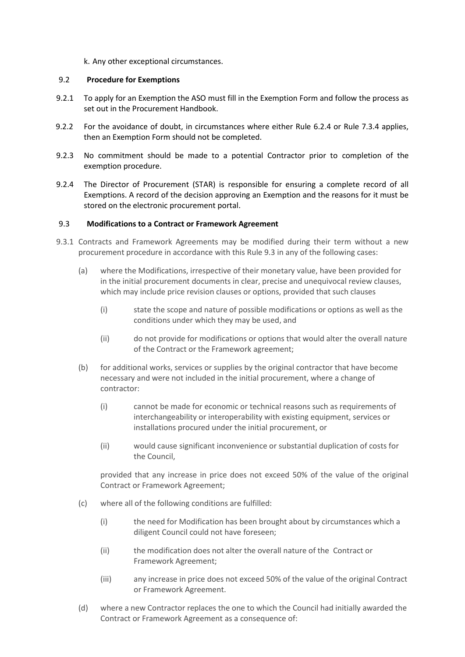k. Any other exceptional circumstances.

#### <span id="page-16-0"></span>9.2 **Procedure for Exemptions**

- 9.2.1 To apply for an Exemption the ASO must fill in the Exemption Form and follow the process as set out in the Procurement Handbook.
- 9.2.2 For the avoidance of doubt, in circumstances where either Rule 6.2.4 or Rule 7.3.4 applies, then an Exemption Form should not be completed.
- 9.2.3 No commitment should be made to a potential Contractor prior to completion of the exemption procedure.
- 9.2.4 The Director of Procurement (STAR) is responsible for ensuring a complete record of all Exemptions. A record of the decision approving an Exemption and the reasons for it must be stored on the electronic procurement portal.

#### <span id="page-16-1"></span>9.3 **Modifications to a Contract or Framework Agreement**

- 9.3.1 Contracts and Framework Agreements may be modified during their term without a new procurement procedure in accordance with this Rule 9.3 in any of the following cases:
	- (a) where the Modifications, irrespective of their monetary value, have been provided for in the initial procurement documents in clear, precise and unequivocal review clauses, which may include price revision clauses or options, provided that such clauses
		- (i) state the scope and nature of possible modifications or options as well as the conditions under which they may be used, and
		- (ii) do not provide for modifications or options that would alter the overall nature of the Contract or the Framework agreement;
	- (b) for additional works, services or supplies by the original contractor that have become necessary and were not included in the initial procurement, where a change of contractor:
		- (i) cannot be made for economic or technical reasons such as requirements of interchangeability or interoperability with existing equipment, services or installations procured under the initial procurement, or
		- (ii) would cause significant inconvenience or substantial duplication of costs for the Council,

provided that any increase in price does not exceed 50% of the value of the original Contract or Framework Agreement;

- (c) where all of the following conditions are fulfilled:
	- (i) the need for Modification has been brought about by circumstances which a diligent Council could not have foreseen;
	- (ii) the modification does not alter the overall nature of the Contract or Framework Agreement;
	- (iii) any increase in price does not exceed 50% of the value of the original Contract or Framework Agreement.
- (d) where a new Contractor replaces the one to which the Council had initially awarded the Contract or Framework Agreement as a consequence of: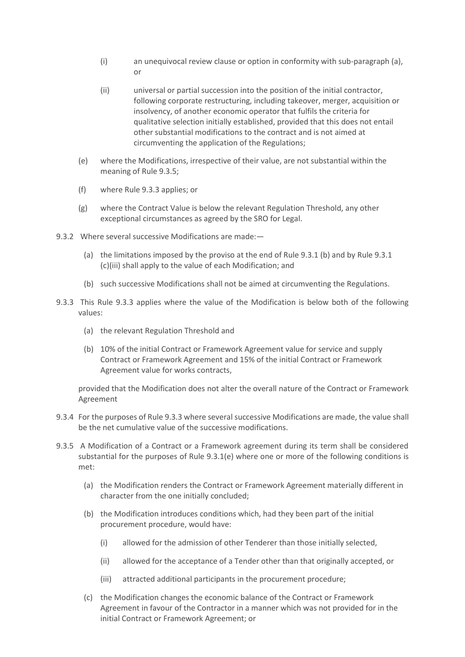- (i) an unequivocal review clause or option in conformity with sub-paragraph (a), or
- (ii) universal or partial succession into the position of the initial contractor, following corporate restructuring, including takeover, merger, acquisition or insolvency, of another economic operator that fulfils the criteria for qualitative selection initially established, provided that this does not entail other substantial modifications to the contract and is not aimed at circumventing the application of the Regulations;
- (e) where the Modifications, irrespective of their value, are not substantial within the meaning of Rule 9.3.5;
- (f) where Rule 9.3.3 applies; or
- (g) where the Contract Value is below the relevant Regulation Threshold, any other exceptional circumstances as agreed by the SRO for Legal.
- 9.3.2 Where several successive Modifications are made:—
	- (a) the limitations imposed by the proviso at the end of Rule 9.3.1 (b) and by Rule 9.3.1 (c)(iii) shall apply to the value of each Modification; and
	- (b) such successive Modifications shall not be aimed at circumventing the Regulations.
- 9.3.3 This Rule 9.3.3 applies where the value of the Modification is below both of the following values:
	- (a) the relevant Regulation Threshold and
	- (b) 10% of the initial Contract or Framework Agreement value for service and supply Contract or Framework Agreement and 15% of the initial Contract or Framework Agreement value for works contracts,

provided that the Modification does not alter the overall nature of the Contract or Framework Agreement

- 9.3.4 For the purposes of Rule 9.3.3 where several successive Modifications are made, the value shall be the net cumulative value of the successive modifications.
- 9.3.5 A Modification of a Contract or a Framework agreement during its term shall be considered substantial for the purposes of Rule 9.3.1(e) where one or more of the following conditions is met:
	- (a) the Modification renders the Contract or Framework Agreement materially different in character from the one initially concluded;
	- (b) the Modification introduces conditions which, had they been part of the initial procurement procedure, would have:
		- (i) allowed for the admission of other Tenderer than those initially selected,
		- (ii) allowed for the acceptance of a Tender other than that originally accepted, or
		- (iii) attracted additional participants in the procurement procedure;
	- (c) the Modification changes the economic balance of the Contract or Framework Agreement in favour of the Contractor in a manner which was not provided for in the initial Contract or Framework Agreement; or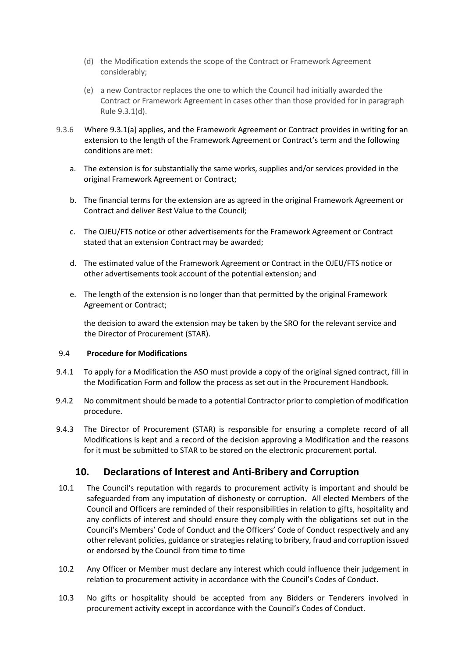- (d) the Modification extends the scope of the Contract or Framework Agreement considerably;
- (e) a new Contractor replaces the one to which the Council had initially awarded the Contract or Framework Agreement in cases other than those provided for in paragraph Rule 9.3.1(d).
- 9.3.6 Where 9.3.1(a) applies, and the Framework Agreement or Contract provides in writing for an extension to the length of the Framework Agreement or Contract's term and the following conditions are met:
	- a. The extension is for substantially the same works, supplies and/or services provided in the original Framework Agreement or Contract;
	- b. The financial terms for the extension are as agreed in the original Framework Agreement or Contract and deliver Best Value to the Council;
	- c. The OJEU/FTS notice or other advertisements for the Framework Agreement or Contract stated that an extension Contract may be awarded;
	- d. The estimated value of the Framework Agreement or Contract in the OJEU/FTS notice or other advertisements took account of the potential extension; and
	- e. The length of the extension is no longer than that permitted by the original Framework Agreement or Contract;

the decision to award the extension may be taken by the SRO for the relevant service and the Director of Procurement (STAR).

#### <span id="page-18-0"></span>9.4 **Procedure for Modifications**

- 9.4.1 To apply for a Modification the ASO must provide a copy of the original signed contract, fill in the Modification Form and follow the process as set out in the Procurement Handbook.
- 9.4.2 No commitment should be made to a potential Contractor prior to completion of modification procedure.
- 9.4.3 The Director of Procurement (STAR) is responsible for ensuring a complete record of all Modifications is kept and a record of the decision approving a Modification and the reasons for it must be submitted to STAR to be stored on the electronic procurement portal.

# **10. Declarations of Interest and Anti-Bribery and Corruption**

- <span id="page-18-1"></span>10.1 The Council's reputation with regards to procurement activity is important and should be safeguarded from any imputation of dishonesty or corruption. All elected Members of the Council and Officers are reminded of their responsibilities in relation to gifts, hospitality and any conflicts of interest and should ensure they comply with the obligations set out in the Council's Members' Code of Conduct and the Officers' Code of Conduct respectively and any other relevant policies, guidance or strategies relating to bribery, fraud and corruption issued or endorsed by the Council from time to time
- 10.2 Any Officer or Member must declare any interest which could influence their judgement in relation to procurement activity in accordance with the Council's Codes of Conduct.
- 10.3 No gifts or hospitality should be accepted from any Bidders or Tenderers involved in procurement activity except in accordance with the Council's Codes of Conduct.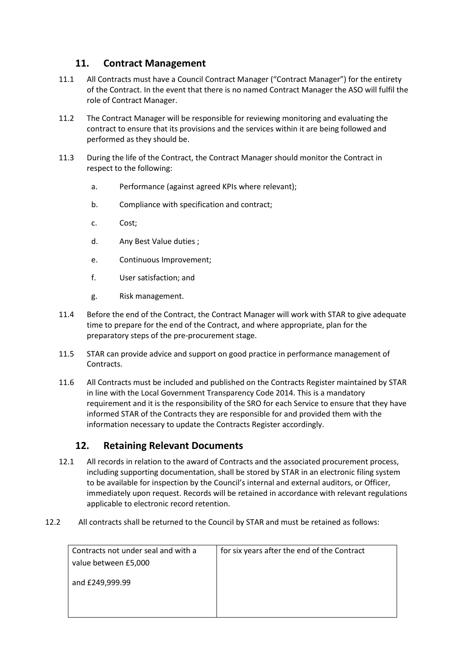# **11. Contract Management**

- <span id="page-19-0"></span>11.1 All Contracts must have a Council Contract Manager ("Contract Manager") for the entirety of the Contract. In the event that there is no named Contract Manager the ASO will fulfil the role of Contract Manager.
- 11.2 The Contract Manager will be responsible for reviewing monitoring and evaluating the contract to ensure that its provisions and the services within it are being followed and performed as they should be.
- 11.3 During the life of the Contract, the Contract Manager should monitor the Contract in respect to the following:
	- a. Performance (against agreed KPIs where relevant);
	- b. Compliance with specification and contract;
	- c. Cost;
	- d. Any Best Value duties ;
	- e. Continuous Improvement;
	- f. User satisfaction; and
	- g. Risk management.
- 11.4 Before the end of the Contract, the Contract Manager will work with STAR to give adequate time to prepare for the end of the Contract, and where appropriate, plan for the preparatory steps of the pre-procurement stage.
- 11.5 STAR can provide advice and support on good practice in performance management of Contracts.
- 11.6 All Contracts must be included and published on the Contracts Register maintained by STAR in line with the Local Government Transparency Code 2014. This is a mandatory requirement and it is the responsibility of the SRO for each Service to ensure that they have informed STAR of the Contracts they are responsible for and provided them with the information necessary to update the Contracts Register accordingly.

# **12. Retaining Relevant Documents**

- <span id="page-19-1"></span>12.1 All records in relation to the award of Contracts and the associated procurement process, including supporting documentation, shall be stored by STAR in an electronic filing system to be available for inspection by the Council's internal and external auditors, or Officer, immediately upon request. Records will be retained in accordance with relevant regulations applicable to electronic record retention.
- 12.2 All contracts shall be returned to the Council by STAR and must be retained as follows:

| Contracts not under seal and with a | for six years after the end of the Contract |
|-------------------------------------|---------------------------------------------|
| value between £5,000                |                                             |
|                                     |                                             |
| and £249,999.99                     |                                             |
|                                     |                                             |
|                                     |                                             |
|                                     |                                             |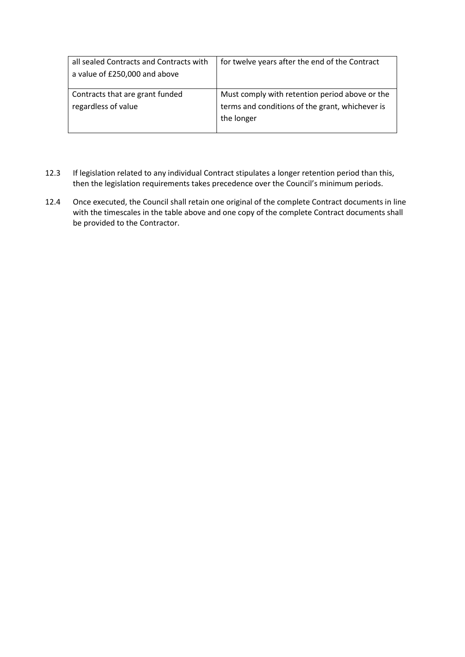| all sealed Contracts and Contracts with<br>a value of £250,000 and above | for twelve years after the end of the Contract                                                                  |
|--------------------------------------------------------------------------|-----------------------------------------------------------------------------------------------------------------|
| Contracts that are grant funded<br>regardless of value                   | Must comply with retention period above or the<br>terms and conditions of the grant, whichever is<br>the longer |

- 12.3 If legislation related to any individual Contract stipulates a longer retention period than this, then the legislation requirements takes precedence over the Council's minimum periods.
- 12.4 Once executed, the Council shall retain one original of the complete Contract documents in line with the timescales in the table above and one copy of the complete Contract documents shall be provided to the Contractor.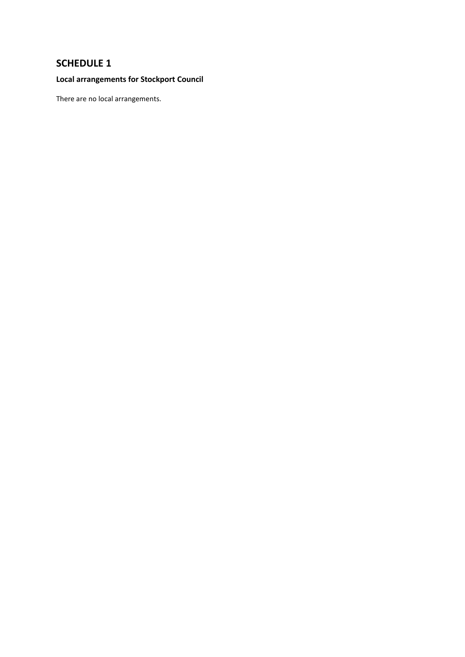# <span id="page-21-0"></span>**SCHEDULE 1**

# **Local arrangements for Stockport Council**

There are no local arrangements.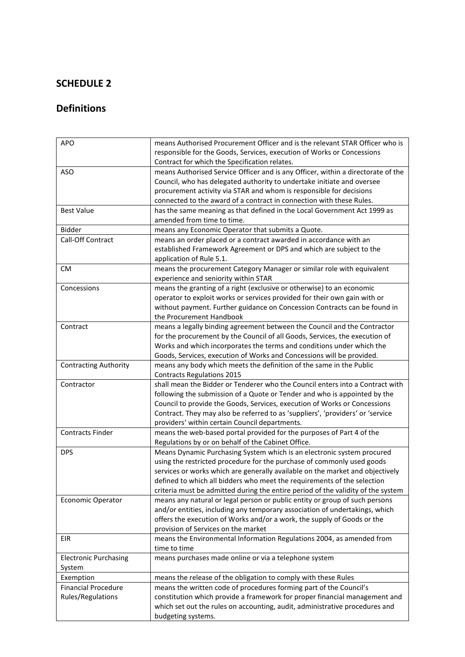# **SCHEDULE 2**

# **Definitions**

| <b>APO</b>                              | means Authorised Procurement Officer and is the relevant STAR Officer who is                                   |
|-----------------------------------------|----------------------------------------------------------------------------------------------------------------|
|                                         | responsible for the Goods, Services, execution of Works or Concessions                                         |
|                                         | Contract for which the Specification relates.                                                                  |
| <b>ASO</b>                              | means Authorised Service Officer and is any Officer, within a directorate of the                               |
|                                         | Council, who has delegated authority to undertake initiate and oversee                                         |
|                                         | procurement activity via STAR and whom is responsible for decisions                                            |
|                                         | connected to the award of a contract in connection with these Rules.                                           |
| <b>Best Value</b>                       | has the same meaning as that defined in the Local Government Act 1999 as                                       |
|                                         | amended from time to time.                                                                                     |
| <b>Bidder</b>                           | means any Economic Operator that submits a Quote.                                                              |
| Call-Off Contract                       | means an order placed or a contract awarded in accordance with an                                              |
|                                         | established Framework Agreement or DPS and which are subject to the                                            |
|                                         | application of Rule 5.1.                                                                                       |
| <b>CM</b>                               | means the procurement Category Manager or similar role with equivalent                                         |
|                                         | experience and seniority within STAR                                                                           |
| Concessions                             | means the granting of a right (exclusive or otherwise) to an economic                                          |
|                                         | operator to exploit works or services provided for their own gain with or                                      |
|                                         | without payment. Further guidance on Concession Contracts can be found in                                      |
|                                         | the Procurement Handbook                                                                                       |
| Contract                                | means a legally binding agreement between the Council and the Contractor                                       |
|                                         | for the procurement by the Council of all Goods, Services, the execution of                                    |
|                                         | Works and which incorporates the terms and conditions under which the                                          |
|                                         | Goods, Services, execution of Works and Concessions will be provided.                                          |
| <b>Contracting Authority</b>            | means any body which meets the definition of the same in the Public                                            |
|                                         | <b>Contracts Regulations 2015</b>                                                                              |
| Contractor                              | shall mean the Bidder or Tenderer who the Council enters into a Contract with                                  |
|                                         | following the submission of a Quote or Tender and who is appointed by the                                      |
|                                         | Council to provide the Goods, Services, execution of Works or Concessions                                      |
|                                         | Contract. They may also be referred to as 'suppliers', 'providers' or 'service                                 |
|                                         | providers' within certain Council departments.                                                                 |
| <b>Contracts Finder</b>                 | means the web-based portal provided for the purposes of Part 4 of the                                          |
|                                         | Regulations by or on behalf of the Cabinet Office.                                                             |
| <b>DPS</b>                              | Means Dynamic Purchasing System which is an electronic system procured                                         |
|                                         | using the restricted procedure for the purchase of commonly used goods                                         |
|                                         | services or works which are generally available on the market and objectively                                  |
|                                         | defined to which all bidders who meet the requirements of the selection                                        |
|                                         | criteria must be admitted during the entire period of the validity of the system                               |
| <b>Economic Operator</b>                | means any natural or legal person or public entity or group of such persons                                    |
|                                         | and/or entities, including any temporary association of undertakings, which                                    |
|                                         | offers the execution of Works and/or a work, the supply of Goods or the<br>provision of Services on the market |
| EIR                                     | means the Environmental Information Regulations 2004, as amended from                                          |
|                                         | time to time                                                                                                   |
|                                         |                                                                                                                |
| <b>Electronic Purchasing</b><br>System  | means purchases made online or via a telephone system                                                          |
|                                         | means the release of the obligation to comply with these Rules                                                 |
| Exemption<br><b>Financial Procedure</b> | means the written code of procedures forming part of the Council's                                             |
| Rules/Regulations                       | constitution which provide a framework for proper financial management and                                     |
|                                         | which set out the rules on accounting, audit, administrative procedures and                                    |
|                                         | budgeting systems.                                                                                             |
|                                         |                                                                                                                |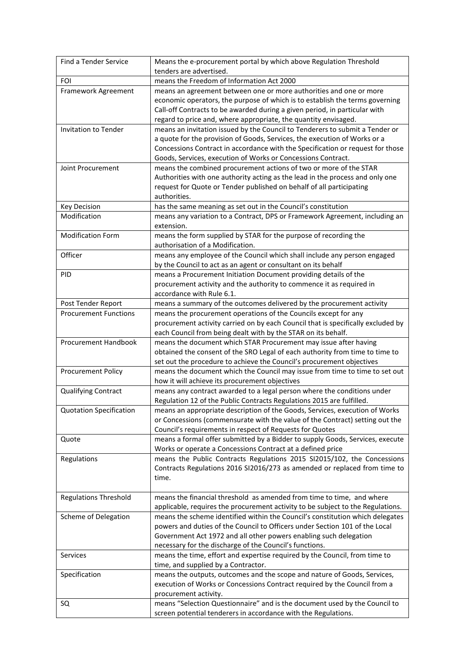| Find a Tender Service          | Means the e-procurement portal by which above Regulation Threshold                                                                                        |
|--------------------------------|-----------------------------------------------------------------------------------------------------------------------------------------------------------|
|                                | tenders are advertised.                                                                                                                                   |
| <b>FOI</b>                     | means the Freedom of Information Act 2000                                                                                                                 |
| Framework Agreement            | means an agreement between one or more authorities and one or more                                                                                        |
|                                | economic operators, the purpose of which is to establish the terms governing                                                                              |
|                                | Call-off Contracts to be awarded during a given period, in particular with                                                                                |
|                                | regard to price and, where appropriate, the quantity envisaged.                                                                                           |
| <b>Invitation to Tender</b>    | means an invitation issued by the Council to Tenderers to submit a Tender or<br>a quote for the provision of Goods, Services, the execution of Works or a |
|                                | Concessions Contract in accordance with the Specification or request for those                                                                            |
|                                | Goods, Services, execution of Works or Concessions Contract.                                                                                              |
| Joint Procurement              | means the combined procurement actions of two or more of the STAR                                                                                         |
|                                | Authorities with one authority acting as the lead in the process and only one                                                                             |
|                                | request for Quote or Tender published on behalf of all participating                                                                                      |
|                                | authorities.                                                                                                                                              |
| <b>Key Decision</b>            | has the same meaning as set out in the Council's constitution                                                                                             |
| Modification                   | means any variation to a Contract, DPS or Framework Agreement, including an                                                                               |
|                                | extension.                                                                                                                                                |
| <b>Modification Form</b>       | means the form supplied by STAR for the purpose of recording the                                                                                          |
|                                | authorisation of a Modification.                                                                                                                          |
| Officer                        | means any employee of the Council which shall include any person engaged                                                                                  |
|                                | by the Council to act as an agent or consultant on its behalf                                                                                             |
| PID                            | means a Procurement Initiation Document providing details of the                                                                                          |
|                                | procurement activity and the authority to commence it as required in                                                                                      |
|                                | accordance with Rule 6.1.                                                                                                                                 |
| Post Tender Report             | means a summary of the outcomes delivered by the procurement activity                                                                                     |
| <b>Procurement Functions</b>   | means the procurement operations of the Councils except for any                                                                                           |
|                                | procurement activity carried on by each Council that is specifically excluded by                                                                          |
|                                | each Council from being dealt with by the STAR on its behalf.                                                                                             |
|                                |                                                                                                                                                           |
| <b>Procurement Handbook</b>    | means the document which STAR Procurement may issue after having                                                                                          |
|                                | obtained the consent of the SRO Legal of each authority from time to time to                                                                              |
|                                | set out the procedure to achieve the Council's procurement objectives                                                                                     |
| <b>Procurement Policy</b>      | means the document which the Council may issue from time to time to set out                                                                               |
|                                | how it will achieve its procurement objectives                                                                                                            |
| <b>Qualifying Contract</b>     | means any contract awarded to a legal person where the conditions under<br>Regulation 12 of the Public Contracts Regulations 2015 are fulfilled.          |
| <b>Quotation Specification</b> | means an appropriate description of the Goods, Services, execution of Works                                                                               |
|                                | or Concessions (commensurate with the value of the Contract) setting out the                                                                              |
|                                | Council's requirements in respect of Requests for Quotes                                                                                                  |
| Quote                          | means a formal offer submitted by a Bidder to supply Goods, Services, execute                                                                             |
|                                | Works or operate a Concessions Contract at a defined price                                                                                                |
| Regulations                    | means the Public Contracts Regulations 2015 SI2015/102, the Concessions                                                                                   |
|                                | Contracts Regulations 2016 SI2016/273 as amended or replaced from time to                                                                                 |
|                                | time.                                                                                                                                                     |
|                                |                                                                                                                                                           |
| <b>Regulations Threshold</b>   | means the financial threshold as amended from time to time, and where                                                                                     |
|                                | applicable, requires the procurement activity to be subject to the Regulations.                                                                           |
| <b>Scheme of Delegation</b>    | means the scheme identified within the Council's constitution which delegates                                                                             |
|                                | powers and duties of the Council to Officers under Section 101 of the Local                                                                               |
|                                | Government Act 1972 and all other powers enabling such delegation                                                                                         |
| <b>Services</b>                | necessary for the discharge of the Council's functions.                                                                                                   |
|                                | means the time, effort and expertise required by the Council, from time to                                                                                |
|                                | time, and supplied by a Contractor.                                                                                                                       |
| Specification                  | means the outputs, outcomes and the scope and nature of Goods, Services,<br>execution of Works or Concessions Contract required by the Council from a     |
|                                | procurement activity.                                                                                                                                     |
| SQ                             | means "Selection Questionnaire" and is the document used by the Council to                                                                                |